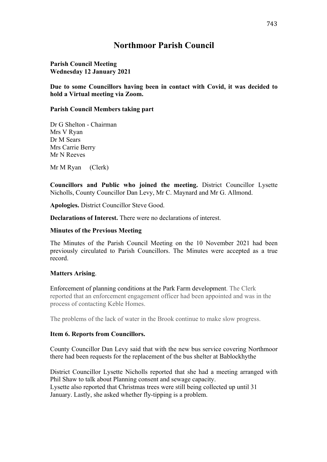# **Northmoor Parish Council**

## **Parish Council Meeting Wednesday 12 January 2021**

## **Due to some Councillors having been in contact with Covid, it was decided to hold a Virtual meeting via Zoom.**

### **Parish Council Members taking part**

Dr G Shelton - Chairman Mrs V Ryan Dr M Sears Mrs Carrie Berry Mr N Reeves

Mr M Ryan (Clerk)

**Councillors and Public who joined the meeting.** District Councillor Lysette Nicholls, County Councillor Dan Levy, Mr C. Maynard and Mr G. Allmond.

**Apologies.** District Councillor Steve Good.

**Declarations of Interest.** There were no declarations of interest.

### **Minutes of the Previous Meeting**

The Minutes of the Parish Council Meeting on the 10 November 2021 had been previously circulated to Parish Councillors. The Minutes were accepted as a true record.

# **Matters Arising**.

Enforcement of planning conditions at the Park Farm development. The Clerk reported that an enforcement engagement officer had been appointed and was in the process of contacting Keble Homes.

The problems of the lack of water in the Brook continue to make slow progress.

#### **Item 6. Reports from Councillors.**

County Councillor Dan Levy said that with the new bus service covering Northmoor there had been requests for the replacement of the bus shelter at Bablockhythe

District Councillor Lysette Nicholls reported that she had a meeting arranged with Phil Shaw to talk about Planning consent and sewage capacity. Lysette also reported that Christmas trees were still being collected up until 31 January. Lastly, she asked whether fly-tipping is a problem.